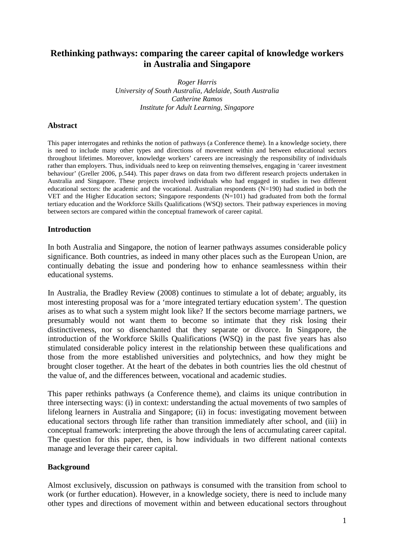# **Rethinking pathways: comparing the career capital of knowledge workers in Australia and Singapore**

*Roger Harris University of South Australia, Adelaide, South Australia Catherine Ramos Institute for Adult Learning, Singapore* 

### **Abstract**

This paper interrogates and rethinks the notion of pathways (a Conference theme). In a knowledge society, there is need to include many other types and directions of movement within and between educational sectors throughout lifetimes. Moreover, knowledge workers' careers are increasingly the responsibility of individuals rather than employers. Thus, individuals need to keep on reinventing themselves, engaging in 'career investment behaviour' (Greller 2006, p.544). This paper draws on data from two different research projects undertaken in Australia and Singapore. These projects involved individuals who had engaged in studies in two different educational sectors: the academic and the vocational. Australian respondents (N=190) had studied in both the VET and the Higher Education sectors; Singapore respondents (N=101) had graduated from both the formal tertiary education and the Workforce Skills Qualifications (WSQ) sectors. Their pathway experiences in moving between sectors are compared within the conceptual framework of career capital.

### **Introduction**

In both Australia and Singapore, the notion of learner pathways assumes considerable policy significance. Both countries, as indeed in many other places such as the European Union, are continually debating the issue and pondering how to enhance seamlessness within their educational systems.

In Australia, the Bradley Review (2008) continues to stimulate a lot of debate; arguably, its most interesting proposal was for a 'more integrated tertiary education system'. The question arises as to what such a system might look like? If the sectors become marriage partners, we presumably would not want them to become so intimate that they risk losing their distinctiveness, nor so disenchanted that they separate or divorce. In Singapore, the introduction of the Workforce Skills Qualifications (WSQ) in the past five years has also stimulated considerable policy interest in the relationship between these qualifications and those from the more established universities and polytechnics, and how they might be brought closer together. At the heart of the debates in both countries lies the old chestnut of the value of, and the differences between, vocational and academic studies.

This paper rethinks pathways (a Conference theme), and claims its unique contribution in three intersecting ways: (i) in context: understanding the actual movements of two samples of lifelong learners in Australia and Singapore; (ii) in focus: investigating movement between educational sectors through life rather than transition immediately after school, and (iii) in conceptual framework: interpreting the above through the lens of accumulating career capital. The question for this paper, then, is how individuals in two different national contexts manage and leverage their career capital.

#### **Background**

Almost exclusively, discussion on pathways is consumed with the transition from school to work (or further education). However, in a knowledge society, there is need to include many other types and directions of movement within and between educational sectors throughout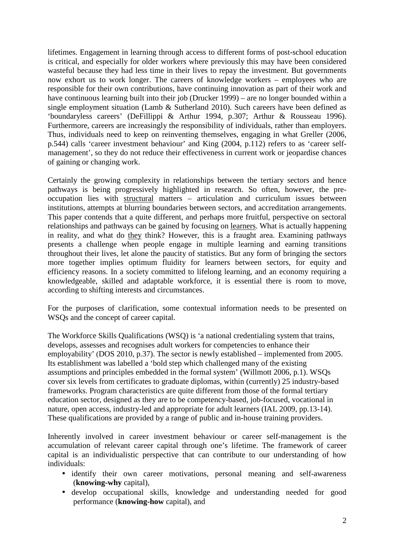lifetimes. Engagement in learning through access to different forms of post-school education is critical, and especially for older workers where previously this may have been considered wasteful because they had less time in their lives to repay the investment. But governments now exhort us to work longer. The careers of knowledge workers – employees who are responsible for their own contributions, have continuing innovation as part of their work and have continuous learning built into their job (Drucker 1999) – are no longer bounded within a single employment situation (Lamb & Sutherland 2010). Such careers have been defined as 'boundaryless careers' (DeFillippi & Arthur 1994, p.307; Arthur & Rousseau 1996). Furthermore, careers are increasingly the responsibility of individuals, rather than employers. Thus, individuals need to keep on reinventing themselves, engaging in what Greller (2006, p.544) calls 'career investment behaviour' and King (2004, p.112) refers to as 'career selfmanagement', so they do not reduce their effectiveness in current work or jeopardise chances of gaining or changing work.

Certainly the growing complexity in relationships between the tertiary sectors and hence pathways is being progressively highlighted in research. So often, however, the preoccupation lies with structural matters – articulation and curriculum issues between institutions, attempts at blurring boundaries between sectors, and accreditation arrangements. This paper contends that a quite different, and perhaps more fruitful, perspective on sectoral relationships and pathways can be gained by focusing on learners. What is actually happening in reality, and what do they think? However, this is a fraught area. Examining pathways presents a challenge when people engage in multiple learning and earning transitions throughout their lives, let alone the paucity of statistics. But any form of bringing the sectors more together implies optimum fluidity for learners between sectors, for equity and efficiency reasons. In a society committed to lifelong learning, and an economy requiring a knowledgeable, skilled and adaptable workforce, it is essential there is room to move, according to shifting interests and circumstances.

For the purposes of clarification, some contextual information needs to be presented on WSQs and the concept of career capital.

The Workforce Skills Qualifications (WSQ) is 'a national credentialing system that trains, develops, assesses and recognises adult workers for competencies to enhance their employability' (DOS 2010, p.37). The sector is newly established – implemented from 2005. Its establishment was labelled a 'bold step which challenged many of the existing assumptions and principles embedded in the formal system' (Willmott 2006, p.1). WSQs cover six levels from certificates to graduate diplomas, within (currently) 25 industry-based frameworks. Program characteristics are quite different from those of the formal tertiary education sector, designed as they are to be competency-based, job-focused, vocational in nature, open access, industry-led and appropriate for adult learners (IAL 2009, pp.13-14). These qualifications are provided by a range of public and in-house training providers.

Inherently involved in career investment behaviour or career self-management is the accumulation of relevant career capital through one's lifetime. The framework of career capital is an individualistic perspective that can contribute to our understanding of how individuals:

- identify their own career motivations, personal meaning and self-awareness (**knowing-why** capital),
- develop occupational skills, knowledge and understanding needed for good performance (**knowing-how** capital), and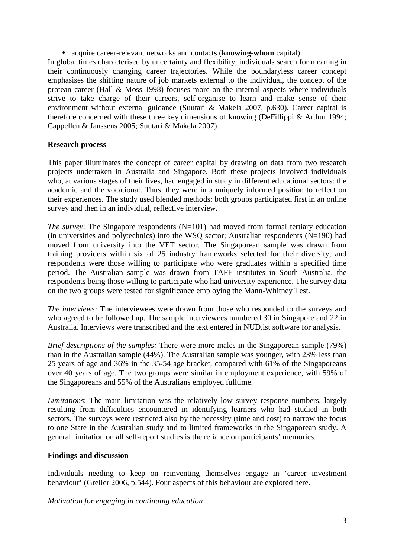• acquire career-relevant networks and contacts (**knowing-whom** capital).

In global times characterised by uncertainty and flexibility, individuals search for meaning in their continuously changing career trajectories. While the boundaryless career concept emphasises the shifting nature of job markets external to the individual, the concept of the protean career (Hall & Moss 1998) focuses more on the internal aspects where individuals strive to take charge of their careers, self-organise to learn and make sense of their environment without external guidance (Suutari & Makela 2007, p.630). Career capital is therefore concerned with these three key dimensions of knowing (DeFillippi & Arthur 1994; Cappellen & Janssens 2005; Suutari & Makela 2007).

## **Research process**

This paper illuminates the concept of career capital by drawing on data from two research projects undertaken in Australia and Singapore. Both these projects involved individuals who, at various stages of their lives, had engaged in study in different educational sectors: the academic and the vocational. Thus, they were in a uniquely informed position to reflect on their experiences. The study used blended methods: both groups participated first in an online survey and then in an individual, reflective interview.

*The survey*: The Singapore respondents (N=101) had moved from formal tertiary education (in universities and polytechnics) into the WSQ sector; Australian respondents  $(N=190)$  had moved from university into the VET sector. The Singaporean sample was drawn from training providers within six of 25 industry frameworks selected for their diversity, and respondents were those willing to participate who were graduates within a specified time period. The Australian sample was drawn from TAFE institutes in South Australia, the respondents being those willing to participate who had university experience. The survey data on the two groups were tested for significance employing the Mann-Whitney Test.

*The interviews:* The interviewees were drawn from those who responded to the surveys and who agreed to be followed up. The sample interviewees numbered 30 in Singapore and 22 in Australia. Interviews were transcribed and the text entered in NUD.ist software for analysis.

*Brief descriptions of the samples:* There were more males in the Singaporean sample (79%) than in the Australian sample (44%). The Australian sample was younger, with 23% less than 25 years of age and 36% in the 35-54 age bracket, compared with 61% of the Singaporeans over 40 years of age. The two groups were similar in employment experience, with 59% of the Singaporeans and 55% of the Australians employed fulltime.

*Limitations*: The main limitation was the relatively low survey response numbers, largely resulting from difficulties encountered in identifying learners who had studied in both sectors. The surveys were restricted also by the necessity (time and cost) to narrow the focus to one State in the Australian study and to limited frameworks in the Singaporean study. A general limitation on all self-report studies is the reliance on participants' memories.

## **Findings and discussion**

Individuals needing to keep on reinventing themselves engage in 'career investment behaviour' (Greller 2006, p.544). Four aspects of this behaviour are explored here.

*Motivation for engaging in continuing education*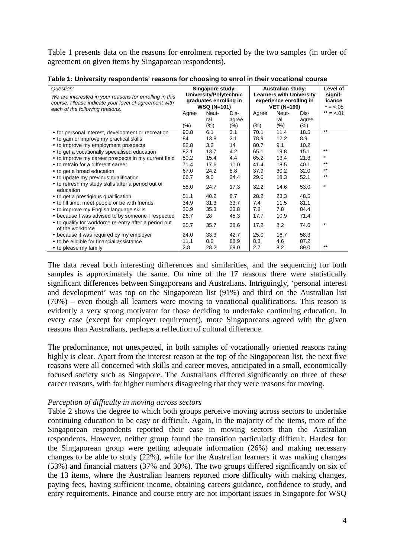Table 1 presents data on the reasons for enrolment reported by the two samples (in order of agreement on given items by Singaporean respondents).

| Table 1: University respondents' reasons for choosing to enrol in their vocational course |  |  |  |  |  |  |
|-------------------------------------------------------------------------------------------|--|--|--|--|--|--|
|-------------------------------------------------------------------------------------------|--|--|--|--|--|--|

| Question:<br>We are interested in your reasons for enrolling in this<br>course. Please indicate your level of agreement with<br>each of the following reasons. | Singapore study:<br>University/Polytechnic<br>graduates enrolling in<br><b>WSQ (N=101)</b> |         |        | <b>Australian study:</b><br><b>Learners with University</b><br>experience enrolling in<br><b>VET (N=190)</b> | Level of<br>signif-<br>icance<br>$= < .05$ |         |              |
|----------------------------------------------------------------------------------------------------------------------------------------------------------------|--------------------------------------------------------------------------------------------|---------|--------|--------------------------------------------------------------------------------------------------------------|--------------------------------------------|---------|--------------|
|                                                                                                                                                                | Agree                                                                                      | Neut-   | Dis-   | Agree                                                                                                        | Neut-                                      | Dis-    | ** = $< .01$ |
|                                                                                                                                                                |                                                                                            | ral     | agree  |                                                                                                              | ral                                        | agree   |              |
|                                                                                                                                                                | $(\% )$                                                                                    | $(\% )$ | $(\%)$ | $(\% )$                                                                                                      | $(\% )$                                    | $(\% )$ |              |
| • for personal interest, development or recreation                                                                                                             | 90.8                                                                                       | 6.1     | 3.1    | 70.1                                                                                                         | 11.4                                       | 18.5    | $***$        |
| • to gain or improve my practical skills                                                                                                                       | 84                                                                                         | 13.8    | 2.1    | 78.9                                                                                                         | 12.2                                       | 8.9     |              |
| • to improve my employment prospects                                                                                                                           | 82.8                                                                                       | 3.2     | 14     | 80.7                                                                                                         | 9.1                                        | 10.2    |              |
| • to get a vocationally specialised education                                                                                                                  | 82.1                                                                                       | 13.7    | 4.2    | 65.1                                                                                                         | 19.8                                       | 15.1    | $***$        |
| • to improve my career prospects in my current field                                                                                                           | 80.2                                                                                       | 15.4    | 4.4    | 65.2                                                                                                         | 13.4                                       | 21.3    | $\star$      |
| • to retrain for a different career                                                                                                                            | 71.4                                                                                       | 17.6    | 11.0   | 41.4                                                                                                         | 18.5                                       | 40.1    | $***$        |
| • to get a broad education                                                                                                                                     | 67.0                                                                                       | 24.2    | 8.8    | 37.9                                                                                                         | 30.2                                       | 32.0    | $***$        |
| • to update my previous qualification                                                                                                                          | 66.7                                                                                       | 9.0     | 24.4   | 29.6                                                                                                         | 18.3                                       | 52.1    | $***$        |
| • to refresh my study skills after a period out of<br>education                                                                                                | 58.0                                                                                       | 24.7    | 17.3   | 32.2                                                                                                         | 14.6                                       | 53.0    | $\star$      |
| • to get a prestigious qualification                                                                                                                           | 51.1                                                                                       | 40.2    | 8.7    | 28.2                                                                                                         | 23.3                                       | 48.5    |              |
| • to fill time, meet people or be with friends                                                                                                                 | 34.9                                                                                       | 31.3    | 33.7   | 7.4                                                                                                          | 11.5                                       | 81.1    |              |
| • to improve my English language skills                                                                                                                        | 30.9                                                                                       | 35.3    | 33.8   | 7.8                                                                                                          | 7.8                                        | 84.4    |              |
| • because I was advised to by someone I respected                                                                                                              | 26.7                                                                                       | 28      | 45.3   | 17.7                                                                                                         | 10.9                                       | 71.4    |              |
| • to qualify for workforce re-entry after a period out<br>of the workforce                                                                                     | 25.7                                                                                       | 35.7    | 38.6   | 17.2                                                                                                         | 8.2                                        | 74.6    | $\star$      |
| • because it was required by my employer                                                                                                                       | 24.0                                                                                       | 33.3    | 42.7   | 25.0                                                                                                         | 16.7                                       | 58.3    |              |
| • to be eligible for financial assistance                                                                                                                      | 11.1                                                                                       | 0.0     | 88.9   | 8.3                                                                                                          | 4.6                                        | 87.2    |              |
| • to please my family                                                                                                                                          | 2.8                                                                                        | 28.2    | 69.0   | 2.7                                                                                                          | 8.2                                        | 89.0    | $***$        |

The data reveal both interesting differences and similarities, and the sequencing for both samples is approximately the same. On nine of the 17 reasons there were statistically significant differences between Singaporeans and Australians. Intriguingly, 'personal interest and development' was top on the Singaporean list (91%) and third on the Australian list (70%) – even though all learners were moving to vocational qualifications. This reason is evidently a very strong motivator for those deciding to undertake continuing education. In every case (except for employer requirement), more Singaporeans agreed with the given reasons than Australians, perhaps a reflection of cultural difference.

The predominance, not unexpected, in both samples of vocationally oriented reasons rating highly is clear. Apart from the interest reason at the top of the Singaporean list, the next five reasons were all concerned with skills and career moves, anticipated in a small, economically focused society such as Singapore. The Australians differed significantly on three of these career reasons, with far higher numbers disagreeing that they were reasons for moving.

#### *Perception of difficulty in moving across sectors*

Table 2 shows the degree to which both groups perceive moving across sectors to undertake continuing education to be easy or difficult. Again, in the majority of the items, more of the Singaporean respondents reported their ease in moving sectors than the Australian respondents. However, neither group found the transition particularly difficult. Hardest for the Singaporean group were getting adequate information (26%) and making necessary changes to be able to study (22%), while for the Australian learners it was making changes (53%) and financial matters (37% and 30%). The two groups differed significantly on six of the 13 items, where the Australian learners reported more difficulty with making changes, paying fees, having sufficient income, obtaining careers guidance, confidence to study, and entry requirements. Finance and course entry are not important issues in Singapore for WSQ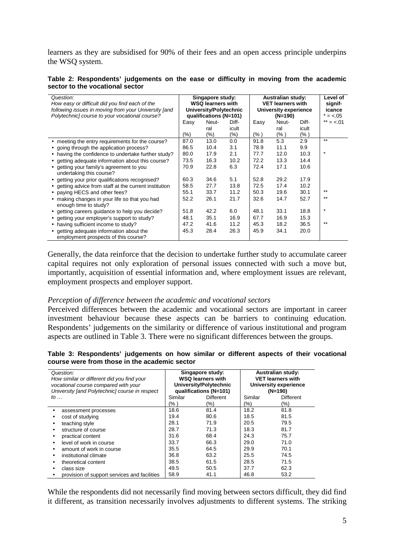learners as they are subsidised for 90% of their fees and an open access principle underpins the WSQ system.

| Table 2: Respondents' judgements on the ease or difficulty in moving from the academic |  |  |  |  |  |
|----------------------------------------------------------------------------------------|--|--|--|--|--|
| sector to the vocational sector                                                        |  |  |  |  |  |

| Question:<br>How easy or difficult did you find each of the<br>following issues in moving from your University [and<br>Polytechnic] course to your vocational course? | Singapore study:<br><b>WSQ learners with</b><br>University/Polytechnic<br>qualifications (N=101) |            |                  | <b>Australian study:</b><br><b>VET learners with</b><br>University experience<br>$(N=190)$ |             |               | Level of<br>signif-<br>icance<br>$= < .05$ |
|-----------------------------------------------------------------------------------------------------------------------------------------------------------------------|--------------------------------------------------------------------------------------------------|------------|------------------|--------------------------------------------------------------------------------------------|-------------|---------------|--------------------------------------------|
|                                                                                                                                                                       | Easy                                                                                             | Neut-      | Diff-            | Easy                                                                                       | Neut-       | Diff-         | ** = $< .01$                               |
|                                                                                                                                                                       | $(\% )$                                                                                          | ral<br>(%) | icult<br>$(\% )$ | (% )                                                                                       | ral<br>(% ) | icult<br>(% ) |                                            |
| • meeting the entry requirements for the course?                                                                                                                      | 87.0                                                                                             | 13.0       | 0.0              | 91.8                                                                                       | 5.3         | 2.9           | $***$                                      |
| • going through the application process?                                                                                                                              | 86.5                                                                                             | 10.4       | 3.1              | 78.9                                                                                       | 11.1        | 9.9           |                                            |
| • having the confidence to undertake further study?                                                                                                                   | 80.0                                                                                             | 17.9       | 2.1              | 77.7                                                                                       | 12.0        | 10.3          | $\star$                                    |
| • getting adequate information about this course?                                                                                                                     | 73.5                                                                                             | 16.3       | 10.2             | 72.2                                                                                       | 13.3        | 14.4          |                                            |
| • getting your family's agreement to you<br>undertaking this course?                                                                                                  | 70.9                                                                                             | 22.8       | 6.3              | 72.4                                                                                       | 17.1        | 10.6          |                                            |
| • getting your prior qualifications recognised?                                                                                                                       | 60.3                                                                                             | 34.6       | 5.1              | 52.8                                                                                       | 29.2        | 17.9          |                                            |
| • getting advice from staff at the current institution                                                                                                                | 58.5                                                                                             | 27.7       | 13.8             | 72.5                                                                                       | 17.4        | 10.2          |                                            |
| • paying HECS and other fees?                                                                                                                                         | 55.1                                                                                             | 33.7       | 11.2             | 50.3                                                                                       | 19.6        | 30.1          | $***$                                      |
| • making changes in your life so that you had<br>enough time to study?                                                                                                | 52.2                                                                                             | 26.1       | 21.7             | 32.6                                                                                       | 14.7        | 52.7          | $***$                                      |
| • getting careers guidance to help you decide?                                                                                                                        | 51.8                                                                                             | 42.2       | 6.0              | 48.1                                                                                       | 33.1        | 18.8          | $\star$                                    |
| • getting your employer's support to study?                                                                                                                           | 48.1                                                                                             | 35.1       | 16.9             | 67.7                                                                                       | 16.9        | 15.3          |                                            |
| • having sufficient income to study?                                                                                                                                  | 47.2                                                                                             | 41.6       | 11.2             | 45.3                                                                                       | 18.2        | 36.5          | $***$                                      |
| • getting adequate information about the<br>employment prospects of this course?                                                                                      | 45.3                                                                                             | 28.4       | 26.3             | 45.9                                                                                       | 34.1        | 20.0          |                                            |

Generally, the data reinforce that the decision to undertake further study to accumulate career capital requires not only exploration of personal issues connected with such a move but, importantly, acquisition of essential information and, where employment issues are relevant, employment prospects and employer support.

#### *Perception of difference between the academic and vocational sectors*

Perceived differences between the academic and vocational sectors are important in career investment behaviour because these aspects can be barriers to continuing education. Respondents' judgements on the similarity or difference of various institutional and program aspects are outlined in Table 3. There were no significant differences between the groups.

| Table 3: Respondents' judgements on how similar or different aspects of their vocational |  |  |  |  |
|------------------------------------------------------------------------------------------|--|--|--|--|
| course were from those in the academic sector                                            |  |  |  |  |

| Question:             | How similar or different did you find your<br>vocational course compared with your<br>University [and Polytechnic] course in respect |                 | Singapore study:<br><b>WSQ learners with</b><br>University/Polytechnic<br>qualifications (N=101) | <b>Australian study:</b><br><b>VET learners with</b><br>University experience<br>$(N=190)$ |                         |  |
|-----------------------|--------------------------------------------------------------------------------------------------------------------------------------|-----------------|--------------------------------------------------------------------------------------------------|--------------------------------------------------------------------------------------------|-------------------------|--|
| to $\ldots$           |                                                                                                                                      | Similar<br>(% ) | <b>Different</b><br>(%)                                                                          | Similar<br>(%)                                                                             | <b>Different</b><br>(%) |  |
| ٠                     | assessment processes                                                                                                                 | 18.6            | 81.4                                                                                             | 18.2                                                                                       | 81.8                    |  |
| cost of studying<br>٠ |                                                                                                                                      | 19.4            | 80.6                                                                                             | 18.5                                                                                       | 81.5                    |  |
| teaching style<br>٠   |                                                                                                                                      | 28.1            | 71.9                                                                                             | 20.5                                                                                       | 79.5                    |  |
| $\bullet$             | structure of course                                                                                                                  | 28.7            | 71.3                                                                                             | 18.3                                                                                       | 81.7                    |  |
|                       | practical content                                                                                                                    | 31.6            | 68.4                                                                                             | 24.3                                                                                       | 75.7                    |  |
|                       | level of work in course                                                                                                              | 33.7            | 66.3                                                                                             | 29.0                                                                                       | 71.0                    |  |
| ٠                     | amount of work in course                                                                                                             | 35.5            | 64.5                                                                                             | 29.9                                                                                       | 70.1                    |  |
| ٠                     | institutional climate                                                                                                                | 36.8            | 63.2                                                                                             | 25.5                                                                                       | 74.5                    |  |
| ٠                     | theoretical content                                                                                                                  | 38.5            | 61.5                                                                                             | 28.5                                                                                       | 71.5                    |  |
| class size<br>٠       |                                                                                                                                      | 49.5            | 50.5                                                                                             | 37.7                                                                                       | 62.3                    |  |
|                       | provision of support services and facilities                                                                                         | 58.9            | 41.1                                                                                             | 46.8                                                                                       | 53.2                    |  |

While the respondents did not necessarily find moving between sectors difficult, they did find it different, as transition necessarily involves adjustments to different systems. The striking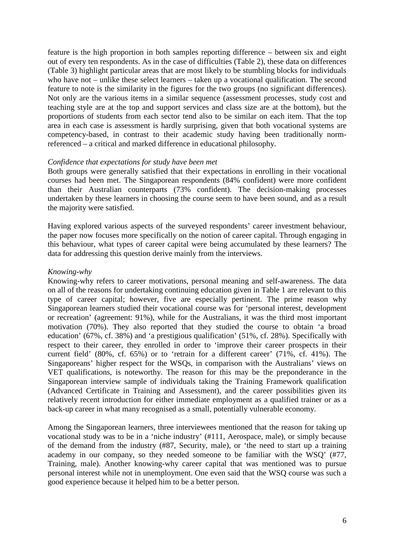feature is the high proportion in both samples reporting difference – between six and eight out of every ten respondents. As in the case of difficulties (Table 2), these data on differences (Table 3) highlight particular areas that are most likely to be stumbling blocks for individuals who have not – unlike these select learners – taken up a vocational qualification. The second feature to note is the similarity in the figures for the two groups (no significant differences). Not only are the various items in a similar sequence (assessment processes, study cost and teaching style are at the top and support services and class size are at the bottom), but the proportions of students from each sector tend also to be similar on each item. That the top area in each case is assessment is hardly surprising, given that both vocational systems are competency-based, in contrast to their academic study having been traditionally normreferenced – a critical and marked difference in educational philosophy.

### *Confidence that expectations for study have been met*

Both groups were generally satisfied that their expectations in enrolling in their vocational courses had been met. The Singaporean respondents (84% confident) were more confident than their Australian counterparts (73% confident). The decision-making processes undertaken by these learners in choosing the course seem to have been sound, and as a result the majority were satisfied.

Having explored various aspects of the surveyed respondents' career investment behaviour, the paper now focuses more specifically on the notion of career capital. Through engaging in this behaviour, what types of career capital were being accumulated by these learners? The data for addressing this question derive mainly from the interviews.

### *Knowing-why*

Knowing-why refers to career motivations, personal meaning and self-awareness. The data on all of the reasons for undertaking continuing education given in Table 1 are relevant to this type of career capital; however, five are especially pertinent. The prime reason why Singaporean learners studied their vocational course was for 'personal interest, development or recreation' (agreement: 91%), while for the Australians, it was the third most important motivation (70%). They also reported that they studied the course to obtain 'a broad education' (67%, cf. 38%) and 'a prestigious qualification' (51%, cf. 28%). Specifically with respect to their career, they enrolled in order to 'improve their career prospects in their current field' (80%, cf. 65%) or to 'retrain for a different career' (71%, cf. 41%). The Singaporeans' higher respect for the WSQs, in comparison with the Australians' views on VET qualifications, is noteworthy. The reason for this may be the preponderance in the Singaporean interview sample of individuals taking the Training Framework qualification (Advanced Certificate in Training and Assessment), and the career possibilities given its relatively recent introduction for either immediate employment as a qualified trainer or as a back-up career in what many recognised as a small, potentially vulnerable economy.

Among the Singaporean learners, three interviewees mentioned that the reason for taking up vocational study was to be in a 'niche industry' (#111, Aerospace, male), or simply because of the demand from the industry (#87, Security, male), or 'the need to start up a training academy in our company, so they needed someone to be familiar with the WSQ' (#77, Training, male). Another knowing-why career capital that was mentioned was to pursue personal interest while not in unemployment. One even said that the WSQ course was such a good experience because it helped him to be a better person.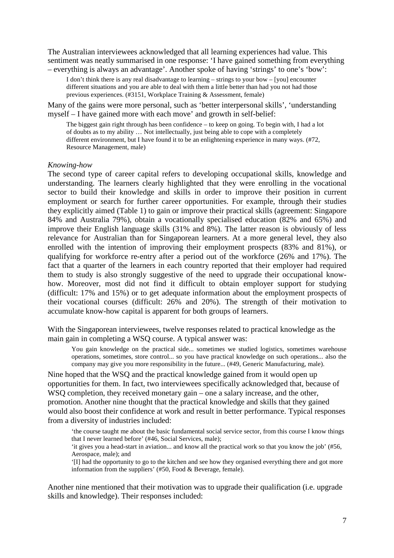The Australian interviewees acknowledged that all learning experiences had value. This sentiment was neatly summarised in one response: 'I have gained something from everything – everything is always an advantage'. Another spoke of having 'strings' to one's 'bow':

I don't think there is any real disadvantage to learning – strings to your bow – [you] encounter different situations and you are able to deal with them a little better than had you not had those previous experiences. (#3151, Workplace Training & Assessment, female)

Many of the gains were more personal, such as 'better interpersonal skills', 'understanding myself – I have gained more with each move' and growth in self-belief:

The biggest gain right through has been confidence – to keep on going. To begin with, I had a lot of doubts as to my ability … Not intellectually, just being able to cope with a completely different environment, but I have found it to be an enlightening experience in many ways. (#72, Resource Management, male)

#### *Knowing-how*

The second type of career capital refers to developing occupational skills, knowledge and understanding. The learners clearly highlighted that they were enrolling in the vocational sector to build their knowledge and skills in order to improve their position in current employment or search for further career opportunities. For example, through their studies they explicitly aimed (Table 1) to gain or improve their practical skills (agreement: Singapore 84% and Australia 79%), obtain a vocationally specialised education (82% and 65%) and improve their English language skills (31% and 8%). The latter reason is obviously of less relevance for Australian than for Singaporean learners. At a more general level, they also enrolled with the intention of improving their employment prospects (83% and 81%), or qualifying for workforce re-entry after a period out of the workforce (26% and 17%). The fact that a quarter of the learners in each country reported that their employer had required them to study is also strongly suggestive of the need to upgrade their occupational knowhow. Moreover, most did not find it difficult to obtain employer support for studying (difficult: 17% and 15%) or to get adequate information about the employment prospects of their vocational courses (difficult: 26% and 20%). The strength of their motivation to accumulate know-how capital is apparent for both groups of learners.

With the Singaporean interviewees, twelve responses related to practical knowledge as the main gain in completing a WSQ course. A typical answer was:

You gain knowledge on the practical side... sometimes we studied logistics, sometimes warehouse operations, sometimes, store control... so you have practical knowledge on such operations... also the company may give you more responsibility in the future... (#49, Generic Manufacturing, male).

Nine hoped that the WSQ and the practical knowledge gained from it would open up opportunities for them. In fact, two interviewees specifically acknowledged that, because of WSQ completion, they received monetary gain – one a salary increase, and the other, promotion. Another nine thought that the practical knowledge and skills that they gained would also boost their confidence at work and result in better performance. Typical responses from a diversity of industries included:

'the course taught me about the basic fundamental social service sector, from this course I know things that I never learned before' (#46, Social Services, male);

'it gives you a head-start in aviation... and know all the practical work so that you know the job' (#56, Aerospace, male); and

'[I] had the opportunity to go to the kitchen and see how they organised everything there and got more information from the suppliers' (#50, Food & Beverage, female).

Another nine mentioned that their motivation was to upgrade their qualification (i.e. upgrade skills and knowledge). Their responses included: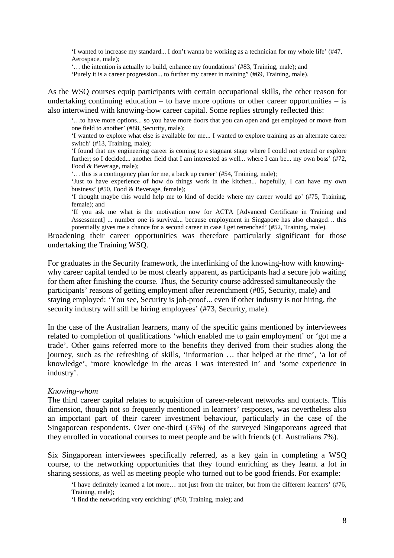'I wanted to increase my standard... I don't wanna be working as a technician for my whole life' (#47, Aerospace, male);

'… the intention is actually to build, enhance my foundations' (#83, Training, male); and

'Purely it is a career progression... to further my career in training" (#69, Training, male).

As the WSQ courses equip participants with certain occupational skills, the other reason for undertaking continuing education – to have more options or other career opportunities – is also intertwined with knowing-how career capital. Some replies strongly reflected this:

'…to have more options... so you have more doors that you can open and get employed or move from one field to another' (#88, Security, male);

'I wanted to explore what else is available for me... I wanted to explore training as an alternate career switch' (#13, Training, male);

'I found that my engineering career is coming to a stagnant stage where I could not extend or explore further; so I decided... another field that I am interested as well... where I can be... my own boss' (#72, Food & Beverage, male);

'… this is a contingency plan for me, a back up career' (#54, Training, male);

'Just to have experience of how do things work in the kitchen... hopefully, I can have my own business' (#50, Food & Beverage, female);

'I thought maybe this would help me to kind of decide where my career would go' (#75, Training, female); and

'If you ask me what is the motivation now for ACTA [Advanced Certificate in Training and Assessment] ... number one is survival... because employment in Singapore has also changed… this potentially gives me a chance for a second career in case I get retrenched' (#52, Training, male).

Broadening their career opportunities was therefore particularly significant for those undertaking the Training WSQ.

For graduates in the Security framework, the interlinking of the knowing-how with knowingwhy career capital tended to be most clearly apparent, as participants had a secure job waiting for them after finishing the course. Thus, the Security course addressed simultaneously the participants' reasons of getting employment after retrenchment (#85, Security, male) and staying employed: 'You see, Security is job-proof... even if other industry is not hiring, the security industry will still be hiring employees' (#73, Security, male).

In the case of the Australian learners, many of the specific gains mentioned by interviewees related to completion of qualifications 'which enabled me to gain employment' or 'got me a trade'. Other gains referred more to the benefits they derived from their studies along the journey, such as the refreshing of skills, 'information … that helped at the time', 'a lot of knowledge', 'more knowledge in the areas I was interested in' and 'some experience in industry'.

#### *Knowing-whom*

The third career capital relates to acquisition of career-relevant networks and contacts. This dimension, though not so frequently mentioned in learners' responses, was nevertheless also an important part of their career investment behaviour, particularly in the case of the Singaporean respondents. Over one-third (35%) of the surveyed Singaporeans agreed that they enrolled in vocational courses to meet people and be with friends (cf. Australians 7%).

Six Singaporean interviewees specifically referred, as a key gain in completing a WSQ course, to the networking opportunities that they found enriching as they learnt a lot in sharing sessions, as well as meeting people who turned out to be good friends. For example:

'I have definitely learned a lot more… not just from the trainer, but from the different learners' (#76, Training, male);

'I find the networking very enriching' (#60, Training, male); and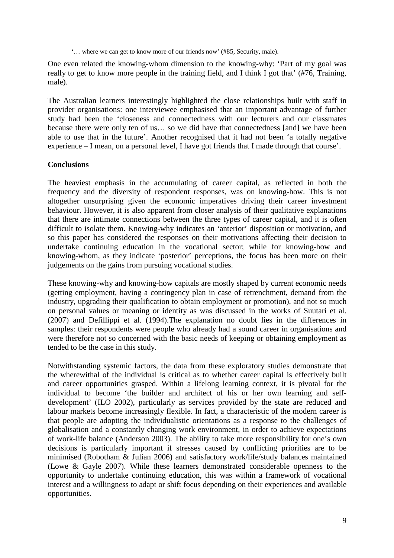'… where we can get to know more of our friends now' (#85, Security, male).

One even related the knowing-whom dimension to the knowing-why: 'Part of my goal was really to get to know more people in the training field, and I think I got that' (#76, Training, male).

The Australian learners interestingly highlighted the close relationships built with staff in provider organisations: one interviewee emphasised that an important advantage of further study had been the 'closeness and connectedness with our lecturers and our classmates because there were only ten of us… so we did have that connectedness [and] we have been able to use that in the future'. Another recognised that it had not been 'a totally negative experience – I mean, on a personal level, I have got friends that I made through that course'.

## **Conclusions**

The heaviest emphasis in the accumulating of career capital, as reflected in both the frequency and the diversity of respondent responses, was on knowing-how. This is not altogether unsurprising given the economic imperatives driving their career investment behaviour. However, it is also apparent from closer analysis of their qualitative explanations that there are intimate connections between the three types of career capital, and it is often difficult to isolate them. Knowing-why indicates an 'anterior' disposition or motivation, and so this paper has considered the responses on their motivations affecting their decision to undertake continuing education in the vocational sector; while for knowing-how and knowing-whom, as they indicate 'posterior' perceptions, the focus has been more on their judgements on the gains from pursuing vocational studies.

These knowing-why and knowing-how capitals are mostly shaped by current economic needs (getting employment, having a contingency plan in case of retrenchment, demand from the industry, upgrading their qualification to obtain employment or promotion), and not so much on personal values or meaning or identity as was discussed in the works of Suutari et al. (2007) and Defillippi et al. (1994).The explanation no doubt lies in the differences in samples: their respondents were people who already had a sound career in organisations and were therefore not so concerned with the basic needs of keeping or obtaining employment as tended to be the case in this study.

Notwithstanding systemic factors, the data from these exploratory studies demonstrate that the wherewithal of the individual is critical as to whether career capital is effectively built and career opportunities grasped. Within a lifelong learning context, it is pivotal for the individual to become 'the builder and architect of his or her own learning and selfdevelopment' (ILO 2002), particularly as services provided by the state are reduced and labour markets become increasingly flexible. In fact, a characteristic of the modern career is that people are adopting the individualistic orientations as a response to the challenges of globalisation and a constantly changing work environment, in order to achieve expectations of work-life balance (Anderson 2003). The ability to take more responsibility for one's own decisions is particularly important if stresses caused by conflicting priorities are to be minimised (Robotham & Julian 2006) and satisfactory work/life/study balances maintained (Lowe & Gayle 2007). While these learners demonstrated considerable openness to the opportunity to undertake continuing education, this was within a framework of vocational interest and a willingness to adapt or shift focus depending on their experiences and available opportunities.